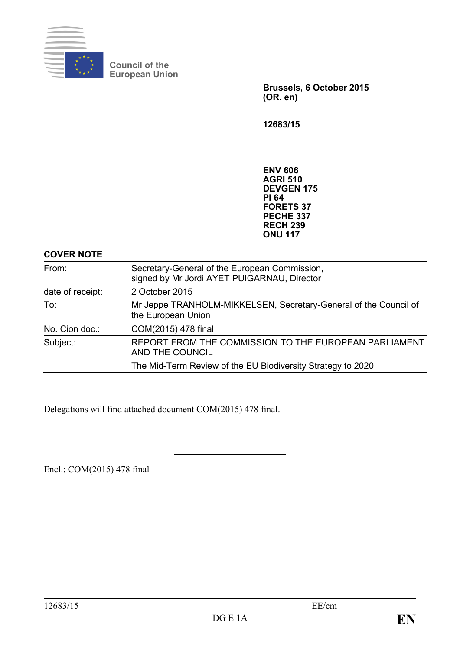

**Council of the European Union**

> **Brussels, 6 October 2015 (OR. en)**

**12683/15**

**ENV 606 AGRI 510 DEVGEN 175 PI 64 FORETS 37 PECHE 337 RECH 239 ONU 117**

**COVER NOTE**

| From:            | Secretary-General of the European Commission,<br>signed by Mr Jordi AYET PUIGARNAU, Director |  |  |  |  |
|------------------|----------------------------------------------------------------------------------------------|--|--|--|--|
| date of receipt: | 2 October 2015                                                                               |  |  |  |  |
| To:              | Mr Jeppe TRANHOLM-MIKKELSEN, Secretary-General of the Council of<br>the European Union       |  |  |  |  |
| No. Cion doc.:   | COM(2015) 478 final                                                                          |  |  |  |  |
| Subject:         | REPORT FROM THE COMMISSION TO THE EUROPEAN PARLIAMENT<br>AND THE COUNCIL                     |  |  |  |  |
|                  | The Mid-Term Review of the EU Biodiversity Strategy to 2020                                  |  |  |  |  |

Delegations will find attached document COM(2015) 478 final.

Encl.: COM(2015) 478 final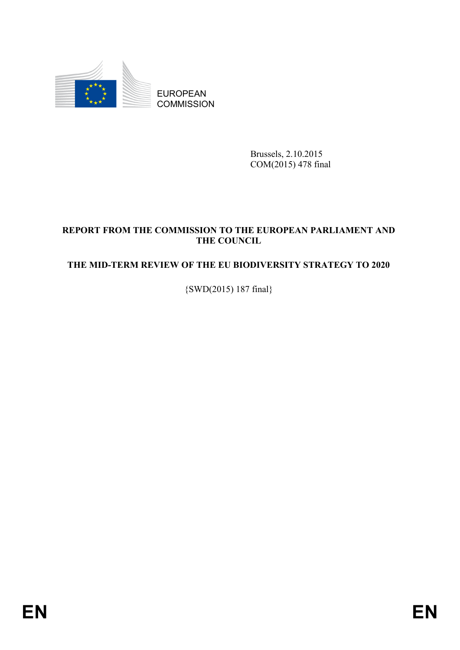

EUROPEAN **COMMISSION** 

> Brussels, 2.10.2015 COM(2015) 478 final

# **REPORT FROM THE COMMISSION TO THE EUROPEAN PARLIAMENT AND THE COUNCIL**

# **THE MID-TERM REVIEW OF THE EU BIODIVERSITY STRATEGY TO 2020**

{SWD(2015) 187 final}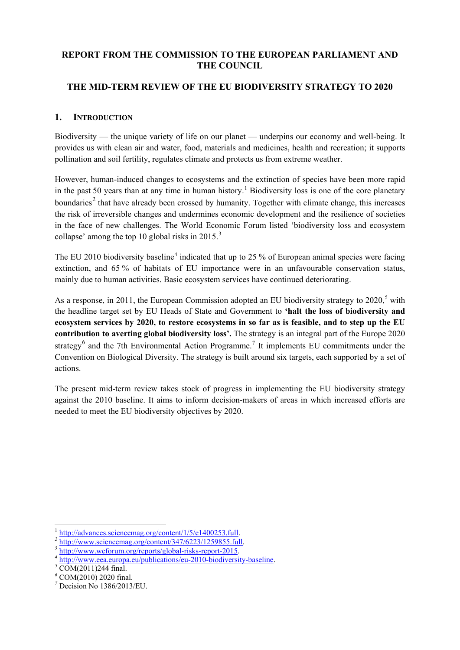# **REPORT FROM THE COMMISSION TO THE EUROPEAN PARLIAMENT AND THE COUNCIL**

# **THE MID-TERM REVIEW OF THE EU BIODIVERSITY STRATEGY TO 2020**

#### **1. INTRODUCTION**

Biodiversity — the unique variety of life on our planet — underpins our economy and well-being. It provides us with clean air and water, food, materials and medicines, health and recreation; it supports pollination and soil fertility, regulates climate and protects us from extreme weather.

However, human-induced changes to ecosystems and the extinction of species have been more rapid in the past 50 years than at any time in human history.<sup>[1](#page-2-0)</sup> Biodiversity loss is one of the core planetary boundaries<sup>[2](#page-2-1)</sup> that have already been crossed by humanity. Together with climate change, this increases the risk of irreversible changes and undermines economic development and the resilience of societies in the face of new challenges. The World Economic Forum listed 'biodiversity loss and ecosystem collapse' among the top 10 global risks in  $2015$ .<sup>[3](#page-2-2)</sup>

The EU 2010 biodiversity baseline<sup>[4](#page-2-3)</sup> indicated that up to 25 % of European animal species were facing extinction, and 65 % of habitats of EU importance were in an unfavourable conservation status, mainly due to human activities. Basic ecosystem services have continued deteriorating.

As a response, in 2011, the European Commission adopted an EU biodiversity strategy to  $2020$ ,<sup>[5](#page-2-4)</sup> with the headline target set by EU Heads of State and Government to **'halt the loss of biodiversity and ecosystem services by 2020, to restore ecosystems in so far as is feasible, and to step up the EU contribution to averting global biodiversity loss'.** The strategy is an integral part of the Europe 2020 strategy<sup>[6](#page-2-5)</sup> and the [7](#page-2-6)th Environmental Action Programme.<sup>7</sup> It implements EU commitments under the Convention on Biological Diversity. The strategy is built around six targets, each supported by a set of actions.

The present mid-term review takes stock of progress in implementing the EU biodiversity strategy against the 2010 baseline. It aims to inform decision-makers of areas in which increased efforts are needed to meet the EU biodiversity objectives by 2020.

<span id="page-2-0"></span>

<span id="page-2-1"></span>

<span id="page-2-2"></span>

 $\frac{1}{2}$  [http://advances.sciencemag.org/content/1/5/e1400253.full.](http://advances.sciencemag.org/content/1/5/e1400253.full)<br>  $\frac{1}{2}$  [http://www.sciencemag.org/content/347/6223/1259855.full.](http://www.sciencemag.org/content/347/6223/1259855.full)<br>  $\frac{1}{3}$  [http://www.weforum.org/reports/global-risks-report-2015.](http://www.weforum.org/reports/global-risks-report-2015)<br>  $\frac{1}{4}$  http:/

<span id="page-2-4"></span><span id="page-2-3"></span>

<span id="page-2-5"></span>*<sup>6</sup>* COM(2010) 2020 final.

<span id="page-2-6"></span>*<sup>7</sup>* Decision No 1386/2013/EU.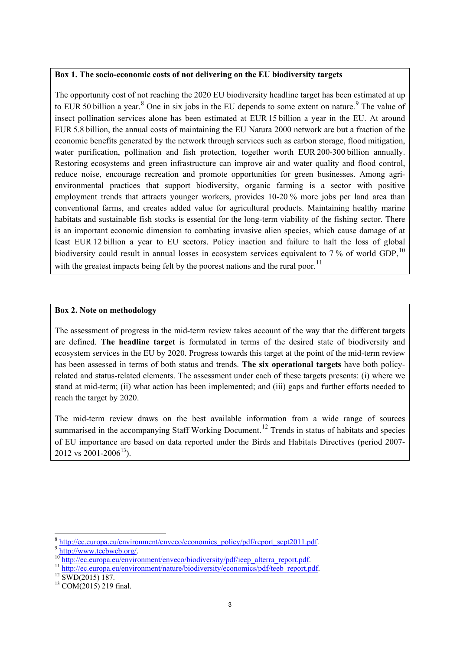#### **Box 1. The socio-economic costs of not delivering on the EU biodiversity targets**

The opportunity cost of not reaching the 2020 EU biodiversity headline target has been estimated at up to EUR 50 billion a year.<sup>[8](#page-3-0)</sup> One in six jobs in the EU depends to some extent on nature.<sup>[9](#page-3-1)</sup> The value of insect pollination services alone has been estimated at EUR 15 billion a year in the EU. At around EUR 5.8 billion, the annual costs of maintaining the EU Natura 2000 network are but a fraction of the economic benefits generated by the network through services such as carbon storage, flood mitigation, water purification, pollination and fish protection, together worth EUR 200-300 billion annually. Restoring ecosystems and green infrastructure can improve air and water quality and flood control, reduce noise, encourage recreation and promote opportunities for green businesses. Among agrienvironmental practices that support biodiversity, organic farming is a sector with positive employment trends that attracts younger workers, provides 10-20 % more jobs per land area than conventional farms, and creates added value for agricultural products. Maintaining healthy marine habitats and sustainable fish stocks is essential for the long-term viability of the fishing sector. There is an important economic dimension to combating invasive alien species, which cause damage of at least EUR 12 billion a year to EU sectors. Policy inaction and failure to halt the loss of global biodiversity could result in annual losses in ecosystem services equivalent to 7 % of world GDP.<sup>[10](#page-3-2)</sup> with the greatest impacts being felt by the poorest nations and the rural poor.<sup>[11](#page-3-3)</sup>

#### **Box 2. Note on methodology**

The assessment of progress in the mid-term review takes account of the way that the different targets are defined. **The headline target** is formulated in terms of the desired state of biodiversity and ecosystem services in the EU by 2020. Progress towards this target at the point of the mid-term review has been assessed in terms of both status and trends. **The six operational targets** have both policyrelated and status-related elements. The assessment under each of these targets presents: (i) where we stand at mid-term; (ii) what action has been implemented; and (iii) gaps and further efforts needed to reach the target by 2020.

The mid-term review draws on the best available information from a wide range of sources summarised in the accompanying Staff Working Document.<sup>[12](#page-3-4)</sup> Trends in status of habitats and species of EU importance are based on data reported under the Birds and Habitats Directives (period 2007- 2012 vs 2001-2006<sup>[13](#page-3-5)</sup>).

<span id="page-3-1"></span><span id="page-3-0"></span><sup>&</sup>lt;sup>8</sup> [http://ec.europa.eu/environment/enveco/economics\\_policy/pdf/report\\_sept2011.pdf.](http://ec.europa.eu/environment/enveco/economics_policy/pdf/report_sept2011.pdf)<br>
<sup>9</sup> [http://www.teebweb.org/.](http://www.teebweb.org/)<br>
<sup>10</sup> [http://ec.europa.eu/environment/enveco/biodiversity/pdf/ieep\\_alterra\\_report.pdf.](http://ec.europa.eu/environment/enveco/biodiversity/pdf/ieep_alterra_report.pdf)<br>
<sup>11</sup> http://ec.eur

<span id="page-3-2"></span>

<span id="page-3-3"></span>

<span id="page-3-5"></span><span id="page-3-4"></span>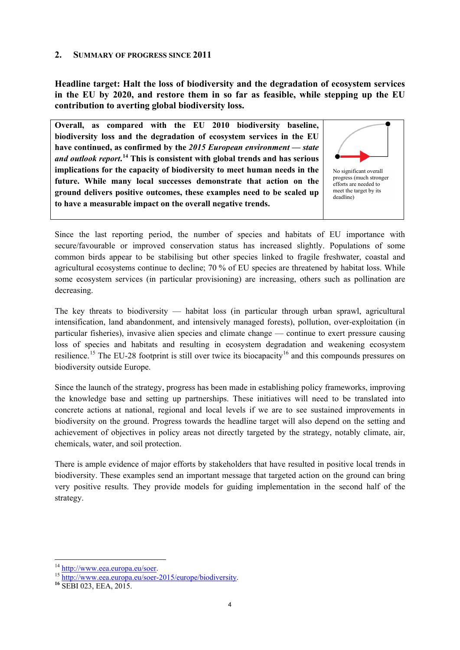#### **2. SUMMARY OF PROGRESS SINCE 2011**

**Headline target: Halt the loss of biodiversity and the degradation of ecosystem services in the EU by 2020, and restore them in so far as feasible, while stepping up the EU contribution to averting global biodiversity loss.** 

**Overall, as compared with the EU 2010 biodiversity baseline, biodiversity loss and the degradation of ecosystem services in the EU have continued, as confirmed by the** *2015 European environment — state and outlook report***. [14](#page-4-0) This is consistent with global trends and has serious implications for the capacity of biodiversity to meet human needs in the future. While many local successes demonstrate that action on the ground delivers positive outcomes, these examples need to be scaled up to have a measurable impact on the overall negative trends.** 



Since the last reporting period, the number of species and habitats of EU importance with secure/favourable or improved conservation status has increased slightly. Populations of some common birds appear to be stabilising but other species linked to fragile freshwater, coastal and agricultural ecosystems continue to decline; 70 % of EU species are threatened by habitat loss. While some ecosystem services (in particular provisioning) are increasing, others such as pollination are decreasing.

The key threats to biodiversity — habitat loss (in particular through urban sprawl, agricultural intensification, land abandonment, and intensively managed forests), pollution, over-exploitation (in particular fisheries), invasive alien species and climate change — continue to exert pressure causing loss of species and habitats and resulting in ecosystem degradation and weakening ecosystem resilience.<sup>[15](#page-4-1)</sup> The EU-28 footprint is still over twice its biocapacity<sup>[16](#page-4-2)</sup> and this compounds pressures on biodiversity outside Europe.

Since the launch of the strategy, progress has been made in establishing policy frameworks, improving the knowledge base and setting up partnerships. These initiatives will need to be translated into concrete actions at national, regional and local levels if we are to see sustained improvements in biodiversity on the ground. Progress towards the headline target will also depend on the setting and achievement of objectives in policy areas not directly targeted by the strategy, notably climate, air, chemicals, water, and soil protection.

There is ample evidence of major efforts by stakeholders that have resulted in positive local trends in biodiversity. These examples send an important message that targeted action on the ground can bring very positive results. They provide models for guiding implementation in the second half of the strategy.

-

<span id="page-4-1"></span><span id="page-4-0"></span><sup>&</sup>lt;sup>14</sup> http://www.eea.europa.eu/soer.<br><sup>15</sup> [http://www.eea.europa.eu/soer-2015/europe/biodiversity.](http://www.eea.europa.eu/soer-2015/europe/biodiversity)<br><sup>16</sup> SEBI 023, EEA, 2015.

<span id="page-4-2"></span>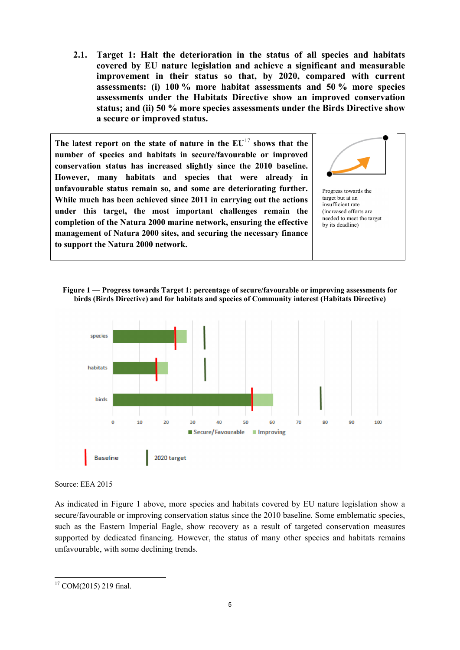**2.1. Target 1: Halt the deterioration in the status of all species and habitats covered by EU nature legislation and achieve a significant and measurable improvement in their status so that, by 2020, compared with current assessments: (i) 100 % more habitat assessments and 50 % more species assessments under the Habitats Directive show an improved conservation status; and (ii) 50 % more species assessments under the Birds Directive show a secure or improved status.**

**The latest report on the state of nature in the EU**[17](#page-5-0) **shows that the number of species and habitats in secure/favourable or improved conservation status has increased slightly since the 2010 baseline. However, many habitats and species that were already in unfavourable status remain so, and some are deteriorating further. While much has been achieved since 2011 in carrying out the actions under this target, the most important challenges remain the completion of the Natura 2000 marine network, ensuring the effective management of Natura 2000 sites, and securing the necessary finance to support the Natura 2000 network.** 



Progress towards the target but at an insufficient rate (increased efforts are needed to meet the target by its deadline)

**Figure 1 — Progress towards Target 1: percentage of secure/favourable or improving assessments for birds (Birds Directive) and for habitats and species of Community interest (Habitats Directive)**



Source: EEA 2015

As indicated in Figure 1 above, more species and habitats covered by EU nature legislation show a secure/favourable or improving conservation status since the 2010 baseline. Some emblematic species, such as the Eastern Imperial Eagle, show recovery as a result of targeted conservation measures supported by dedicated financing. However, the status of many other species and habitats remains unfavourable, with some declining trends.

<span id="page-5-0"></span><sup>-</sup> $17$  COM(2015) 219 final.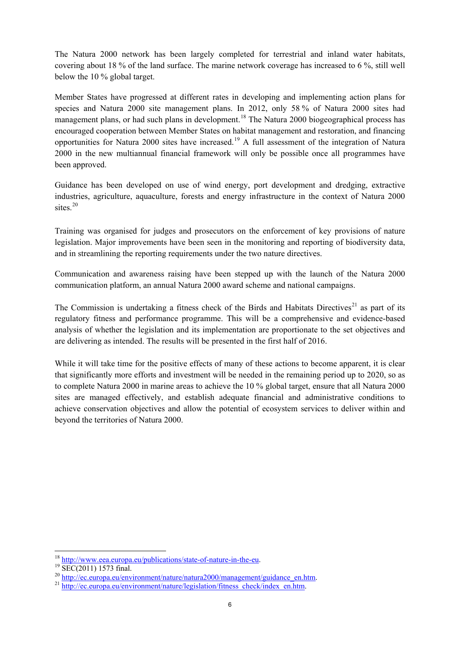The Natura 2000 network has been largely completed for terrestrial and inland water habitats, covering about 18 % of the land surface. The marine network coverage has increased to 6 %, still well below the 10 % global target.

Member States have progressed at different rates in developing and implementing action plans for species and Natura 2000 site management plans. In 2012, only 58 % of Natura 2000 sites had management plans, or had such plans in development.<sup>[18](#page-6-0)</sup> The Natura 2000 biogeographical process has encouraged cooperation between Member States on habitat management and restoration, and financing opportunities for Natura 2000 sites have increased.<sup>[19](#page-6-1)</sup> A full assessment of the integration of Natura 2000 in the new multiannual financial framework will only be possible once all programmes have been approved.

Guidance has been developed on use of wind energy, port development and dredging, extractive industries, agriculture, aquaculture, forests and energy infrastructure in the context of Natura 2000 sites. $20$ 

Training was organised for judges and prosecutors on the enforcement of key provisions of nature legislation. Major improvements have been seen in the monitoring and reporting of biodiversity data, and in streamlining the reporting requirements under the two nature directives.

Communication and awareness raising have been stepped up with the launch of the Natura 2000 communication platform, an annual Natura 2000 award scheme and national campaigns.

The Commission is undertaking a fitness check of the Birds and Habitats Directives<sup>[21](#page-6-3)</sup> as part of its regulatory fitness and performance programme. This will be a comprehensive and evidence-based analysis of whether the legislation and its implementation are proportionate to the set objectives and are delivering as intended. The results will be presented in the first half of 2016.

While it will take time for the positive effects of many of these actions to become apparent, it is clear that significantly more efforts and investment will be needed in the remaining period up to 2020, so as to complete Natura 2000 in marine areas to achieve the 10 % global target, ensure that all Natura 2000 sites are managed effectively, and establish adequate financial and administrative conditions to achieve conservation objectives and allow the potential of ecosystem services to deliver within and beyond the territories of Natura 2000.

<span id="page-6-1"></span>

<span id="page-6-0"></span><sup>&</sup>lt;sup>18</sup> [http://www.eea.europa.eu/publications/state-of-nature-in-the-eu.](http://www.eea.europa.eu/publications/state-of-nature-in-the-eu)<br><sup>19</sup> SEC(2011) 1573 final.<br><sup>20</sup> [http://ec.europa.eu/environment/nature/natura2000/management/guidance\\_en.htm.](http://ec.europa.eu/environment/nature/natura2000/management/guidance_en.htm)<br><sup>21</sup> http://ec.europa.eu/environment/natu

<span id="page-6-3"></span><span id="page-6-2"></span>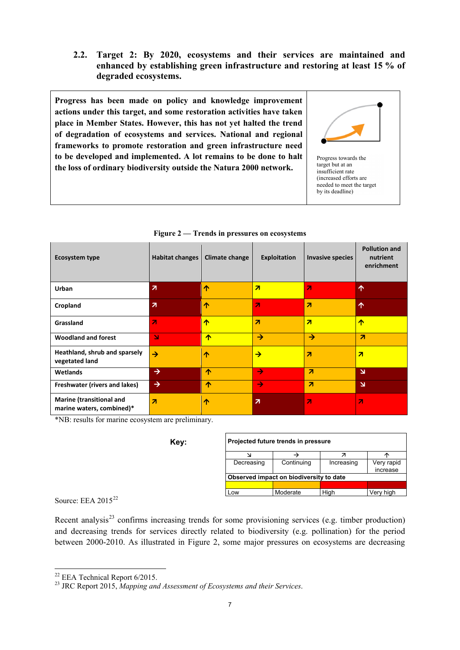**2.2. Target 2: By 2020, ecosystems and their services are maintained and enhanced by establishing green infrastructure and restoring at least 15 % of degraded ecosystems.**

**Progress has been made on policy and knowledge improvement actions under this target, and some restoration activities have taken place in Member States. However, this has not yet halted the trend of degradation of ecosystems and services. National and regional frameworks to promote restoration and green infrastructure need to be developed and implemented. A lot remains to be done to halt the loss of ordinary biodiversity outside the Natura 2000 network.**



Progress towards the target but at an insufficient rate (increased efforts are needed to meet the target by its deadline)

| <b>Ecosystem type</b>                                        | <b>Habitat changes</b>  | Climate change | <b>Exploitation</b>     | <b>Invasive species</b> | <b>Pollution and</b><br>nutrient<br>enrichment |
|--------------------------------------------------------------|-------------------------|----------------|-------------------------|-------------------------|------------------------------------------------|
| Urban                                                        | $\overline{\mathbf{z}}$ | 个              | $\overline{\mathbf{z}}$ | 71                      | $\uparrow$                                     |
| Cropland                                                     | $\overline{\mathbf{z}}$ | 个              | $\overline{\mathbf{z}}$ | $\overline{\mathbf{z}}$ | $\uparrow$                                     |
| Grassland                                                    | $\overline{\mathbf{z}}$ | ↑              | $\overline{\mathbf{z}}$ | $\overline{\mathbf{z}}$ | ₼                                              |
| <b>Woodland and forest</b>                                   | N                       | ↑              | $\rightarrow$           | $\rightarrow$           | $\overline{\mathbf{z}}$                        |
| Heathland, shrub and sparsely<br>vegetated land              | $\rightarrow$           | ↑              | $\rightarrow$           | $\overline{\mathbf{z}}$ | $\overline{\mathbf{z}}$                        |
| <b>Wetlands</b>                                              | $\rightarrow$           | ∧              | $\rightarrow$           | $\overline{\mathbf{z}}$ | $\overline{\mathbf{M}}$                        |
| Freshwater (rivers and lakes)                                | $\rightarrow$           | 个              | $\rightarrow$           | $\overline{\mathbf{z}}$ | $\overline{\mathbf{M}}$                        |
| <b>Marine (transitional and</b><br>marine waters, combined)* | $\overline{\mathbf{z}}$ | ᠰ              | $\overline{\mathbf{z}}$ | 71                      | $\overline{\mathbf{z}}$                        |

**Figure 2 — Trends in pressures on ecosystems**

\*NB: results for marine ecosystem are preliminary.

| Key: | Projected future trends in pressure     |            |            |            |  |  |  |  |
|------|-----------------------------------------|------------|------------|------------|--|--|--|--|
|      |                                         |            |            |            |  |  |  |  |
|      | Decreasing                              | Continuing | Increasing | Very rapid |  |  |  |  |
|      |                                         |            |            | increase   |  |  |  |  |
|      | Observed impact on biodiversity to date |            |            |            |  |  |  |  |
|      |                                         |            |            |            |  |  |  |  |
|      | Low                                     | Moderate   | Hiah       | Very high  |  |  |  |  |

Source: EEA 2015<sup>[22](#page-7-0)</sup>

Recent analysis<sup>[23](#page-7-1)</sup> confirms increasing trends for some provisioning services (e.g. timber production) and decreasing trends for services directly related to biodiversity (e.g. pollination) for the period between 2000-2010. As illustrated in Figure 2, some major pressures on ecosystems are decreasing

<span id="page-7-0"></span> $22$  EEA Technical Report 6/2015.

<span id="page-7-1"></span><sup>&</sup>lt;sup>23</sup> JRC Report 2015, *Mapping and Assessment of Ecosystems and their Services.*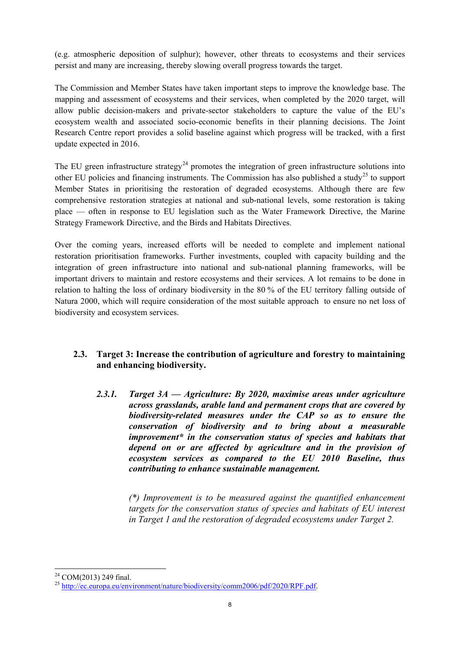(e.g. atmospheric deposition of sulphur); however, other threats to ecosystems and their services persist and many are increasing, thereby slowing overall progress towards the target.

The Commission and Member States have taken important steps to improve the knowledge base. The mapping and assessment of ecosystems and their services, when completed by the 2020 target, will allow public decision-makers and private-sector stakeholders to capture the value of the EU's ecosystem wealth and associated socio-economic benefits in their planning decisions. The Joint Research Centre report provides a solid baseline against which progress will be tracked, with a first update expected in 2016.

The EU green infrastructure strategy<sup>[24](#page-8-0)</sup> promotes the integration of green infrastructure solutions into other EU policies and financing instruments. The Commission has also published a study<sup>[25](#page-8-1)</sup> to support Member States in prioritising the restoration of degraded ecosystems. Although there are few comprehensive restoration strategies at national and sub-national levels, some restoration is taking place — often in response to EU legislation such as the Water Framework Directive, the Marine Strategy Framework Directive, and the Birds and Habitats Directives.

Over the coming years, increased efforts will be needed to complete and implement national restoration prioritisation frameworks. Further investments, coupled with capacity building and the integration of green infrastructure into national and sub-national planning frameworks, will be important drivers to maintain and restore ecosystems and their services. A lot remains to be done in relation to halting the loss of ordinary biodiversity in the 80 % of the EU territory falling outside of Natura 2000, which will require consideration of the most suitable approach to ensure no net loss of biodiversity and ecosystem services.

# **2.3. Target 3: Increase the contribution of agriculture and forestry to maintaining and enhancing biodiversity.**

*2.3.1. Target 3A — Agriculture: By 2020, maximise areas under agriculture across grasslands, arable land and permanent crops that are covered by biodiversity-related measures under the CAP so as to ensure the conservation of biodiversity and to bring about a measurable improvement\* in the conservation status of species and habitats that depend on or are affected by agriculture and in the provision of ecosystem services as compared to the EU 2010 Baseline, thus contributing to enhance sustainable management.*

> *(\*) Improvement is to be measured against the quantified enhancement targets for the conservation status of species and habitats of EU interest in Target 1 and the restoration of degraded ecosystems under Target 2.*

<span id="page-8-1"></span><span id="page-8-0"></span><sup>&</sup>lt;sup>24</sup> COM(2013) 249 final.<br><sup>25</sup> [http://ec.europa.eu/environment/nature/biodiversity/comm2006/pdf/2020/RPF.pdf.](http://ec.europa.eu/environment/nature/biodiversity/comm2006/pdf/2020/RPF.pdf)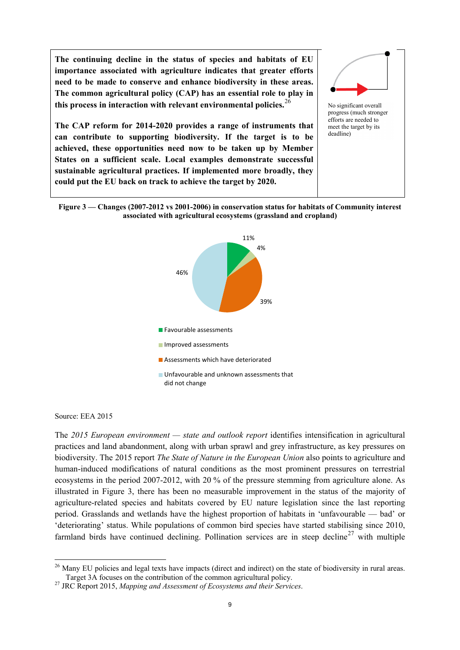**The continuing decline in the status of species and habitats of EU importance associated with agriculture indicates that greater efforts need to be made to conserve and enhance biodiversity in these areas. The common agricultural policy (CAP) has an essential role to play in this process in interaction with relevant environmental policies.**[26](#page-9-0)

**The CAP reform for 2014-2020 provides a range of instruments that can contribute to supporting biodiversity. If the target is to be achieved, these opportunities need now to be taken up by Member States on a sufficient scale. Local examples demonstrate successful sustainable agricultural practices. If implemented more broadly, they could put the EU back on track to achieve the target by 2020.**



No significant overall progress (much stronger efforts are needed to meet the target by its deadline)

**Figure 3 — Changes (2007-2012 vs 2001-2006) in conservation status for habitats of Community interest associated with agricultural ecosystems (grassland and cropland)**



Source: EEA 2015

The *2015 European environment — state and outlook report* identifies intensification in agricultural practices and land abandonment, along with urban sprawl and grey infrastructure, as key pressures on biodiversity. The 2015 report *The State of Nature in the European Union* also points to agriculture and human-induced modifications of natural conditions as the most prominent pressures on terrestrial ecosystems in the period 2007-2012, with 20 % of the pressure stemming from agriculture alone. As illustrated in Figure 3, there has been no measurable improvement in the status of the majority of agriculture-related species and habitats covered by EU nature legislation since the last reporting period. Grasslands and wetlands have the highest proportion of habitats in 'unfavourable — bad' or 'deteriorating' status. While populations of common bird species have started stabilising since 2010, farmland birds have continued declining. Pollination services are in steep decline<sup>[27](#page-9-1)</sup> with multiple

<span id="page-9-0"></span><sup>-</sup><sup>26</sup> Many EU policies and legal texts have impacts (direct and indirect) on the state of biodiversity in rural areas. Target 3A focuses on the contribution of the common agricultural policy. <sup>27</sup> JRC Report 2015, *Mapping and Assessment of Ecosystems and their Services*.

<span id="page-9-1"></span>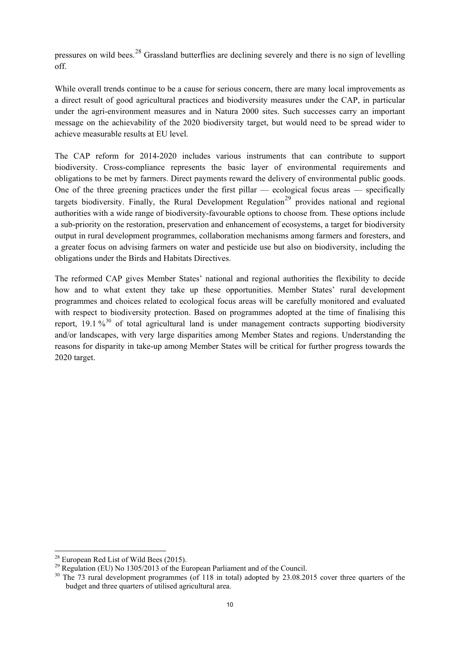pressures on wild bees.[28](#page-10-0) Grassland butterflies are declining severely and there is no sign of levelling off.

While overall trends continue to be a cause for serious concern, there are many local improvements as a direct result of good agricultural practices and biodiversity measures under the CAP, in particular under the agri-environment measures and in Natura 2000 sites. Such successes carry an important message on the achievability of the 2020 biodiversity target, but would need to be spread wider to achieve measurable results at EU level.

The CAP reform for 2014-2020 includes various instruments that can contribute to support biodiversity. Cross-compliance represents the basic layer of environmental requirements and obligations to be met by farmers. Direct payments reward the delivery of environmental public goods. One of the three greening practices under the first pillar — ecological focus areas — specifically targets biodiversity. Finally, the Rural Development Regulation<sup>[29](#page-10-1)</sup> provides national and regional authorities with a wide range of biodiversity-favourable options to choose from. These options include a sub-priority on the restoration, preservation and enhancement of ecosystems, a target for biodiversity output in rural development programmes, collaboration mechanisms among farmers and foresters, and a greater focus on advising farmers on water and pesticide use but also on biodiversity, including the obligations under the Birds and Habitats Directives.

The reformed CAP gives Member States' national and regional authorities the flexibility to decide how and to what extent they take up these opportunities. Member States' rural development programmes and choices related to ecological focus areas will be carefully monitored and evaluated with respect to biodiversity protection. Based on programmes adopted at the time of finalising this report,  $19.1\%^{30}$  $19.1\%^{30}$  $19.1\%^{30}$  of total agricultural land is under management contracts supporting biodiversity and/or landscapes, with very large disparities among Member States and regions. Understanding the reasons for disparity in take-up among Member States will be critical for further progress towards the 2020 target.

<span id="page-10-2"></span>

<span id="page-10-1"></span><span id="page-10-0"></span><sup>&</sup>lt;sup>28</sup> European Red List of Wild Bees (2015).<br><sup>29</sup> Regulation (EU) No 1305/2013 of the European Parliament and of the Council.<br><sup>30</sup> The 73 rural development programmes (of 118 in total) adopted by 23.08.2015 cover three qua budget and three quarters of utilised agricultural area.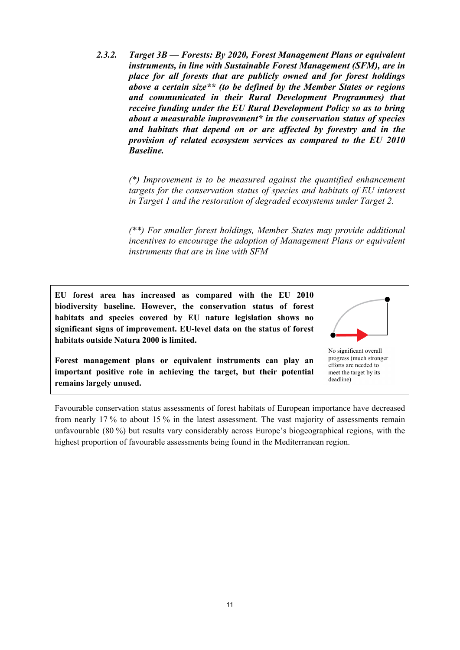*2.3.2. Target 3B — Forests: By 2020, Forest Management Plans or equivalent instruments, in line with Sustainable Forest Management (SFM), are in place for all forests that are publicly owned and for forest holdings above a certain size\*\* (to be defined by the Member States or regions and communicated in their Rural Development Programmes) that receive funding under the EU Rural Development Policy so as to bring about a measurable improvement\* in the conservation status of species and habitats that depend on or are affected by forestry and in the provision of related ecosystem services as compared to the EU 2010 Baseline.* 

> *(\*) Improvement is to be measured against the quantified enhancement targets for the conservation status of species and habitats of EU interest in Target 1 and the restoration of degraded ecosystems under Target 2.*

> *(\*\*) For smaller forest holdings, Member States may provide additional incentives to encourage the adoption of Management Plans or equivalent instruments that are in line with SFM*

**EU forest area has increased as compared with the EU 2010 biodiversity baseline. However, the conservation status of forest habitats and species covered by EU nature legislation shows no significant signs of improvement. EU-level data on the status of forest habitats outside Natura 2000 is limited.** 

**Forest management plans or equivalent instruments can play an important positive role in achieving the target, but their potential remains largely unused.** 



progress (much stronger efforts are needed to meet the target by its deadline)

Favourable conservation status assessments of forest habitats of European importance have decreased from nearly 17 % to about 15 % in the latest assessment. The vast majority of assessments remain unfavourable (80 %) but results vary considerably across Europe's biogeographical regions, with the highest proportion of favourable assessments being found in the Mediterranean region.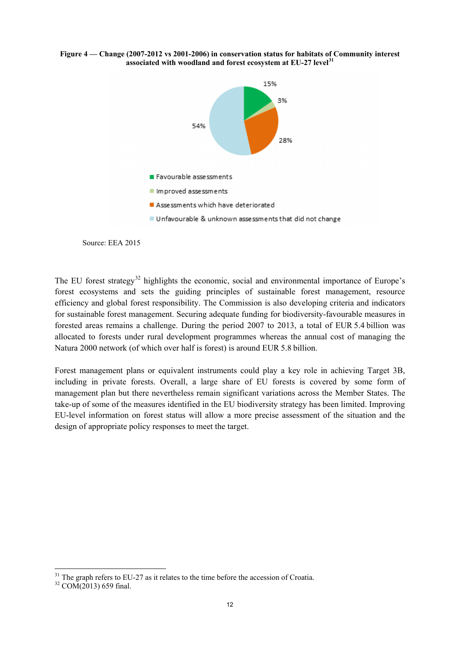**Figure 4 — Change (2007-2012 vs 2001-2006) in conservation status for habitats of Community interest associated with woodland and forest ecosystem at EU-27 level[31](#page-12-0)**



Source: EEA 2015

The EU forest strategy<sup>[32](#page-12-1)</sup> highlights the economic, social and environmental importance of Europe's forest ecosystems and sets the guiding principles of sustainable forest management, resource efficiency and global forest responsibility. The Commission is also developing criteria and indicators for sustainable forest management. Securing adequate funding for biodiversity-favourable measures in forested areas remains a challenge. During the period 2007 to 2013, a total of EUR 5.4 billion was allocated to forests under rural development programmes whereas the annual cost of managing the Natura 2000 network (of which over half is forest) is around EUR 5.8 billion.

Forest management plans or equivalent instruments could play a key role in achieving Target 3B, including in private forests. Overall, a large share of EU forests is covered by some form of management plan but there nevertheless remain significant variations across the Member States. The take-up of some of the measures identified in the EU biodiversity strategy has been limited. Improving EU-level information on forest status will allow a more precise assessment of the situation and the design of appropriate policy responses to meet the target.

<sup>&</sup>lt;u>.</u> <sup>31</sup> The graph refers to EU-27 as it relates to the time before the accession of Croatia.<br><sup>32</sup> COM(2013) 659 final.

<span id="page-12-1"></span><span id="page-12-0"></span>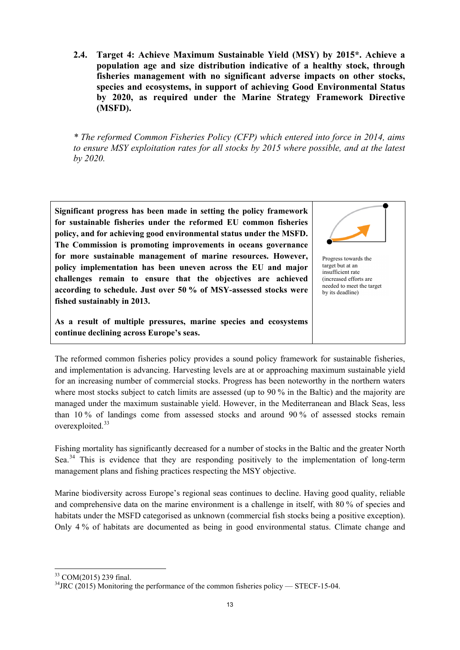**2.4. Target 4: Achieve Maximum Sustainable Yield (MSY) by 2015\*. Achieve a population age and size distribution indicative of a healthy stock, through fisheries management with no significant adverse impacts on other stocks, species and ecosystems, in support of achieving Good Environmental Status by 2020, as required under the Marine Strategy Framework Directive (MSFD).**

*\* The reformed Common Fisheries Policy (CFP) which entered into force in 2014, aims to ensure MSY exploitation rates for all stocks by 2015 where possible, and at the latest by 2020.*

**Significant progress has been made in setting the policy framework for sustainable fisheries under the reformed EU common fisheries policy, and for achieving good environmental status under the MSFD. The Commission is promoting improvements in oceans governance for more sustainable management of marine resources. However, policy implementation has been uneven across the EU and major challenges remain to ensure that the objectives are achieved according to schedule. Just over 50 % of MSY-assessed stocks were fished sustainably in 2013.**

**As a result of multiple pressures, marine species and ecosystems continue declining across Europe's seas.**



Progress towards the target but at an insufficient rate (increased efforts are needed to meet the target by its deadline)

The reformed common fisheries policy provides a sound policy framework for sustainable fisheries, and implementation is advancing. Harvesting levels are at or approaching maximum sustainable yield for an increasing number of commercial stocks. Progress has been noteworthy in the northern waters where most stocks subject to catch limits are assessed (up to 90 % in the Baltic) and the majority are managed under the maximum sustainable yield. However, in the Mediterranean and Black Seas, less than 10 % of landings come from assessed stocks and around 90 % of assessed stocks remain overexploited.<sup>[33](#page-13-0)</sup>

Fishing mortality has significantly decreased for a number of stocks in the Baltic and the greater North Sea.<sup>[34](#page-13-1)</sup> This is evidence that they are responding positively to the implementation of long-term management plans and fishing practices respecting the MSY objective.

Marine biodiversity across Europe's regional seas continues to decline. Having good quality, reliable and comprehensive data on the marine environment is a challenge in itself, with 80 % of species and habitats under the MSFD categorised as unknown (commercial fish stocks being a positive exception). Only 4 % of habitats are documented as being in good environmental status. Climate change and

<sup>&</sup>lt;u>.</u>

<span id="page-13-1"></span><span id="page-13-0"></span><sup>&</sup>lt;sup>33</sup> COM(2015) 239 final.<br><sup>34</sup>JRC (2015) Monitoring the performance of the common fisheries policy — STECF-15-04.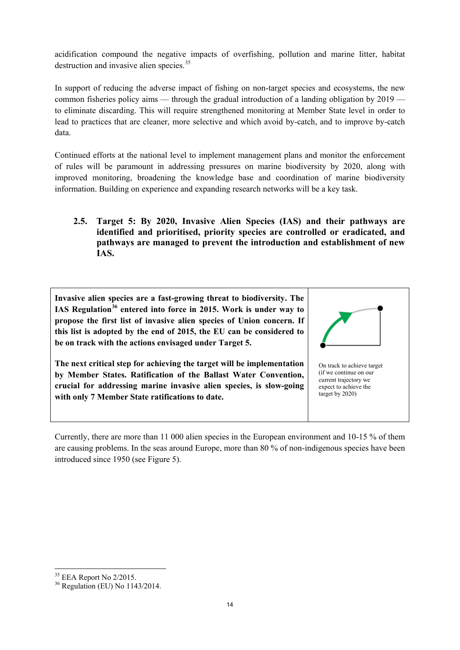acidification compound the negative impacts of overfishing, pollution and marine litter, habitat destruction and invasive alien species.<sup>[35](#page-14-0)</sup>

In support of reducing the adverse impact of fishing on non-target species and ecosystems, the new common fisheries policy aims — through the gradual introduction of a landing obligation by 2019 to eliminate discarding. This will require strengthened monitoring at Member State level in order to lead to practices that are cleaner, more selective and which avoid by-catch, and to improve by-catch data.

Continued efforts at the national level to implement management plans and monitor the enforcement of rules will be paramount in addressing pressures on marine biodiversity by 2020, along with improved monitoring, broadening the knowledge base and coordination of marine biodiversity information. Building on experience and expanding research networks will be a key task.

**2.5. Target 5: By 2020, Invasive Alien Species (IAS) and their pathways are identified and prioritised, priority species are controlled or eradicated, and pathways are managed to prevent the introduction and establishment of new IAS.**

**Invasive alien species are a fast-growing threat to biodiversity. The IAS Regulation[36](#page-14-1) entered into force in 2015. Work is under way to propose the first list of invasive alien species of Union concern. If this list is adopted by the end of 2015, the EU can be considered to be on track with the actions envisaged under Target 5.**

**The next critical step for achieving the target will be implementation by Member States. Ratification of the Ballast Water Convention, crucial for addressing marine invasive alien species, is slow-going with only 7 Member State ratifications to date.** 



On track to achieve target (if we continue on our current trajectory we expect to achieve the target by 2020)

Currently, there are more than 11 000 alien species in the European environment and 10-15 % of them are causing problems. In the seas around Europe, more than 80 % of non-indigenous species have been introduced since 1950 (see Figure 5).

<span id="page-14-0"></span> $35$  EEA Report No 2/2015.

<span id="page-14-1"></span> $36$  Regulation (EU) No 1143/2014.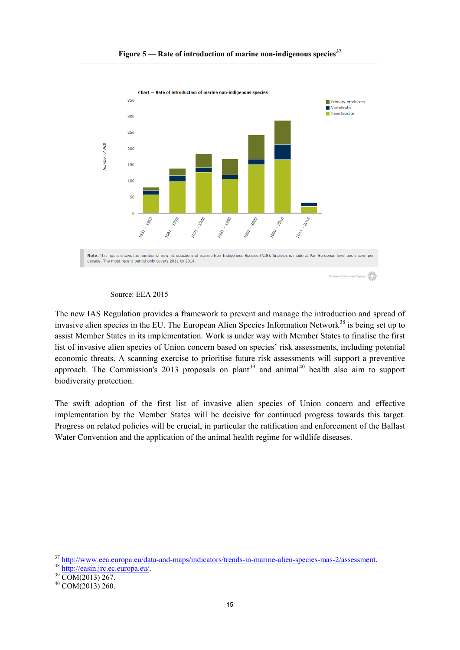

**Figure 5 — Rate of introduction of marine non-indigenous species[37](#page-15-0)**

The new IAS Regulation provides a framework to prevent and manage the introduction and spread of invasive alien species in the EU. The European Alien Species Information Network<sup>[38](#page-15-1)</sup> is being set up to assist Member States in its implementation. Work is under way with Member States to finalise the first list of invasive alien species of Union concern based on species' risk assessments, including potential economic threats. A scanning exercise to prioritise future risk assessments will support a preventive approach. The Commission's 2013 proposals on plant<sup>[39](#page-15-2)</sup> and animal<sup>[40](#page-15-3)</sup> health also aim to support biodiversity protection.

The swift adoption of the first list of invasive alien species of Union concern and effective implementation by the Member States will be decisive for continued progress towards this target. Progress on related policies will be crucial, in particular the ratification and enforcement of the Ballast Water Convention and the application of the animal health regime for wildlife diseases.

Source: EEA 2015

<span id="page-15-1"></span><span id="page-15-0"></span> $\frac{37 \text{ http://www.eea.europa.eu/data-and-maps/indicators/ trends-in-marine-alien-species-mas-2/assessment.}\n38 \frac{\text{http://easin.jrc.ec.europa.eu/data-and-maps/indicators/ trends-in-marine-alien-species-mas-2/assessment.}\n39 COM(2013) 267.\n40 COM(2013) 260.$ 

<span id="page-15-2"></span>

<span id="page-15-3"></span>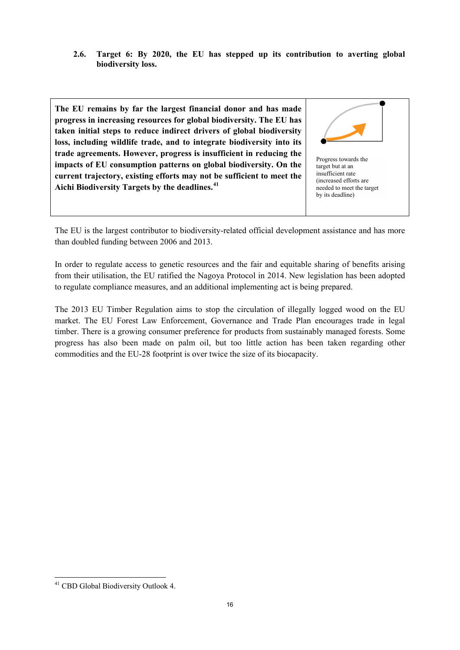**2.6. Target 6: By 2020, the EU has stepped up its contribution to averting global biodiversity loss.**

**The EU remains by far the largest financial donor and has made progress in increasing resources for global biodiversity. The EU has taken initial steps to reduce indirect drivers of global biodiversity loss, including wildlife trade, and to integrate biodiversity into its trade agreements. However, progress is insufficient in reducing the impacts of EU consumption patterns on global biodiversity. On the current trajectory, existing efforts may not be sufficient to meet the Aichi Biodiversity Targets by the deadlines.[41](#page-16-0)**



The EU is the largest contributor to biodiversity-related official development assistance and has more than doubled funding between 2006 and 2013.

In order to regulate access to genetic resources and the fair and equitable sharing of benefits arising from their utilisation, the EU ratified the Nagoya Protocol in 2014. New legislation has been adopted to regulate compliance measures, and an additional implementing act is being prepared.

The 2013 EU Timber Regulation aims to stop the circulation of illegally logged wood on the EU market. The EU Forest Law Enforcement, Governance and Trade Plan encourages trade in legal timber. There is a growing consumer preference for products from sustainably managed forests. Some progress has also been made on palm oil, but too little action has been taken regarding other commodities and the EU-28 footprint is over twice the size of its biocapacity.

<span id="page-16-0"></span><sup>-</sup><sup>41</sup> CBD Global Biodiversity Outlook 4.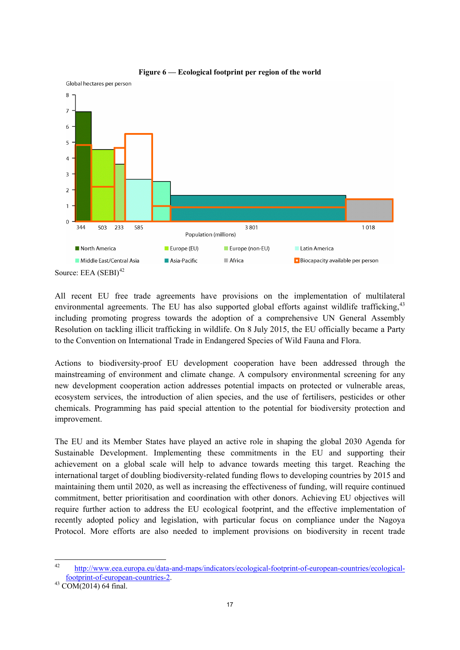

#### **Figure 6 — Ecological footprint per region of the world**

Source: EEA  $(SEBI)^{42}$  $(SEBI)^{42}$  $(SEBI)^{42}$ 

Global hectares per person

All recent EU free trade agreements have provisions on the implementation of multilateral environmental agreements. The EU has also supported global efforts against wildlife trafficking, $43$ including promoting progress towards the adoption of a comprehensive UN General Assembly Resolution on tackling illicit trafficking in wildlife. On 8 July 2015, the EU officially became a Party to the Convention on International Trade in Endangered Species of Wild Fauna and Flora.

Actions to biodiversity-proof EU development cooperation have been addressed through the mainstreaming of environment and climate change. A compulsory environmental screening for any new development cooperation action addresses potential impacts on protected or vulnerable areas, ecosystem services, the introduction of alien species, and the use of fertilisers, pesticides or other chemicals. Programming has paid special attention to the potential for biodiversity protection and improvement.

The EU and its Member States have played an active role in shaping the global 2030 Agenda for Sustainable Development. Implementing these commitments in the EU and supporting their achievement on a global scale will help to advance towards meeting this target. Reaching the international target of doubling biodiversity-related funding flows to developing countries by 2015 and maintaining them until 2020, as well as increasing the effectiveness of funding, will require continued commitment, better prioritisation and coordination with other donors. Achieving EU objectives will require further action to address the EU ecological footprint, and the effective implementation of recently adopted policy and legislation, with particular focus on compliance under the Nagoya Protocol. More efforts are also needed to implement provisions on biodiversity in recent trade

<span id="page-17-0"></span> <sup>42</sup> [http://www.eea.europa.eu/data-and-maps/indicators/ecological-footprint-of-european-countries/ecological](http://www.eea.europa.eu/data-and-maps/indicators/ecological-footprint-of-european-countries/ecological-footprint-of-european-countries-2)[footprint-of-european-countries-2.](http://www.eea.europa.eu/data-and-maps/indicators/ecological-footprint-of-european-countries/ecological-footprint-of-european-countries-2) <sup>43</sup> COM(2014) 64 final.

<span id="page-17-1"></span>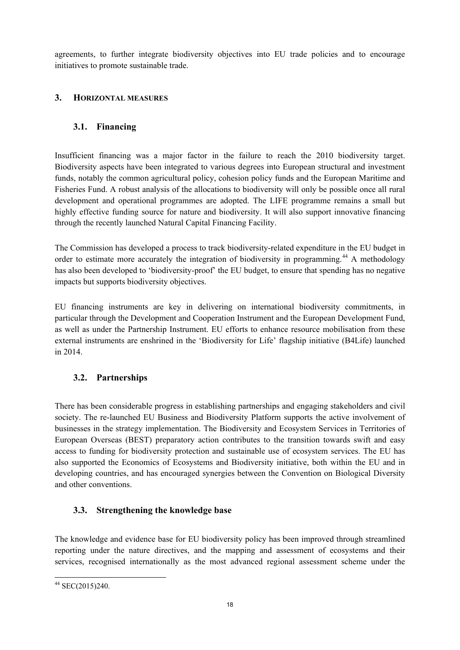agreements, to further integrate biodiversity objectives into EU trade policies and to encourage initiatives to promote sustainable trade.

#### **3. HORIZONTAL MEASURES**

# **3.1. Financing**

Insufficient financing was a major factor in the failure to reach the 2010 biodiversity target. Biodiversity aspects have been integrated to various degrees into European structural and investment funds, notably the common agricultural policy, cohesion policy funds and the European Maritime and Fisheries Fund. A robust analysis of the allocations to biodiversity will only be possible once all rural development and operational programmes are adopted. The LIFE programme remains a small but highly effective funding source for nature and biodiversity. It will also support innovative financing through the recently launched Natural Capital Financing Facility.

The Commission has developed a process to track biodiversity-related expenditure in the EU budget in order to estimate more accurately the integration of biodiversity in programming.<sup>[44](#page-18-0)</sup> A methodology has also been developed to 'biodiversity-proof' the EU budget, to ensure that spending has no negative impacts but supports biodiversity objectives.

EU financing instruments are key in delivering on international biodiversity commitments, in particular through the Development and Cooperation Instrument and the European Development Fund, as well as under the Partnership Instrument. EU efforts to enhance resource mobilisation from these external instruments are enshrined in the 'Biodiversity for Life' flagship initiative (B4Life) launched in 2014.

# **3.2. Partnerships**

There has been considerable progress in establishing partnerships and engaging stakeholders and civil society. The re-launched EU Business and Biodiversity Platform supports the active involvement of businesses in the strategy implementation. The Biodiversity and Ecosystem Services in Territories of European Overseas (BEST) preparatory action contributes to the transition towards swift and easy access to funding for biodiversity protection and sustainable use of ecosystem services. The EU has also supported the Economics of Ecosystems and Biodiversity initiative, both within the EU and in developing countries, and has encouraged synergies between the Convention on Biological Diversity and other conventions.

# **3.3. Strengthening the knowledge base**

The knowledge and evidence base for EU biodiversity policy has been improved through streamlined reporting under the nature directives, and the mapping and assessment of ecosystems and their services, recognised internationally as the most advanced regional assessment scheme under the

<span id="page-18-0"></span> <sup>44</sup> SEC(2015)240.